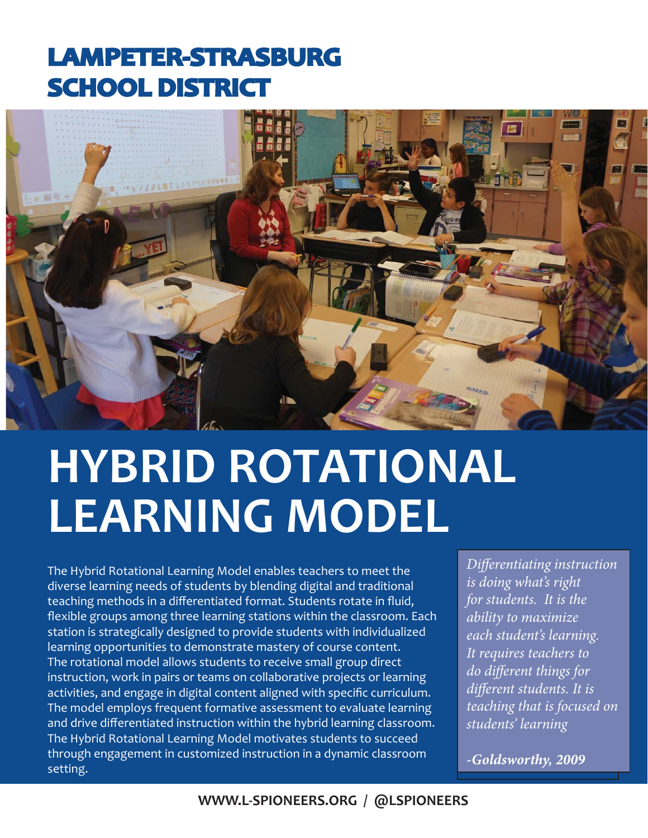## **LAMPETER-STRASBURG AMPETER-STRASBURG SCHOOL DISTRICT**



# **HYBRID ROTATIONAL LEARNING MODEL**

The Hybrid Rotational Learning Model enables teachers to meet the diverse learning needs of students by blending digital and traditional teaching methods in a differentiated format. Students rotate in fluid, flexible groups among three learning stations within the classroom. Each station is strategically designed to provide students with individualized learning opportunities to demonstrate mastery of course content. The rotational model allows students to receive small group direct instruction, work in pairs or teams on collaborative projects or learning activities, and engage in digital content aligned with specific curriculum. The model employs frequent formative assessment to evaluate learning and drive differentiated instruction within the hybrid learning classroom. The Hybrid Rotational Learning Model motivates students to succeed through engagement in customized instruction in a dynamic classroom setting.

*Differentiating instruction is doing what's right for students. It is the ability to maximize each student's learning. It requires teachers to do different things for diff erent students. It is teaching that is focused on students' learning*

*-Goldsworthy, 2009*

#### **WWW.L-SPIONEERS.ORG / @LSPIONEERS**